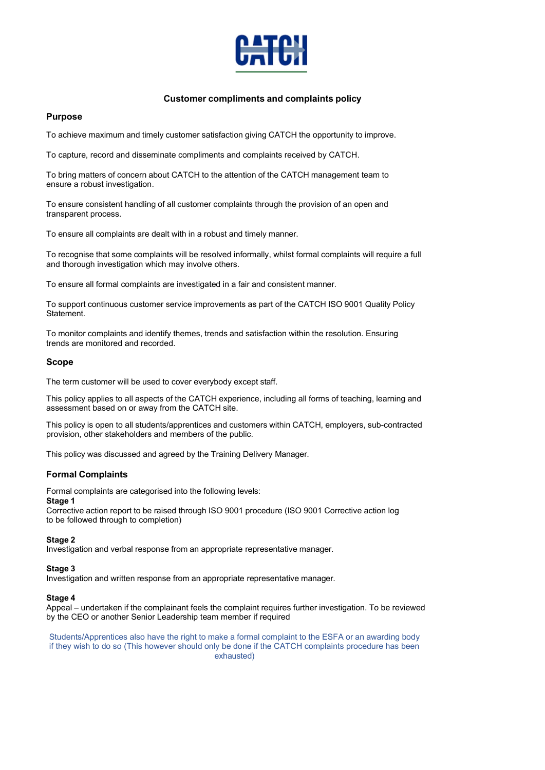

## Customer compliments and complaints policy

## Purpose

To achieve maximum and timely customer satisfaction giving CATCH the opportunity to improve.

To capture, record and disseminate compliments and complaints received by CATCH.

To bring matters of concern about CATCH to the attention of the CATCH management team to ensure a robust investigation.

To ensure consistent handling of all customer complaints through the provision of an open and transparent process.

To ensure all complaints are dealt with in a robust and timely manner.

To recognise that some complaints will be resolved informally, whilst formal complaints will require a full and thorough investigation which may involve others.

To ensure all formal complaints are investigated in a fair and consistent manner.

To support continuous customer service improvements as part of the CATCH ISO 9001 Quality Policy Statement.

To monitor complaints and identify themes, trends and satisfaction within the resolution. Ensuring trends are monitored and recorded.

### Scope

The term customer will be used to cover everybody except staff.

This policy applies to all aspects of the CATCH experience, including all forms of teaching, learning and assessment based on or away from the CATCH site.

This policy is open to all students/apprentices and customers within CATCH, employers, sub-contracted provision, other stakeholders and members of the public.

This policy was discussed and agreed by the Training Delivery Manager.

## Formal Complaints

Formal complaints are categorised into the following levels:

#### Stage 1

Corrective action report to be raised through ISO 9001 procedure (ISO 9001 Corrective action log to be followed through to completion)

### Stage 2

Investigation and verbal response from an appropriate representative manager.

### Stage 3

Investigation and written response from an appropriate representative manager.

### Stage 4

Appeal – undertaken if the complainant feels the complaint requires further investigation. To be reviewed by the CEO or another Senior Leadership team member if required

Students/Apprentices also have the right to make a formal complaint to the ESFA or an awarding body if they wish to do so (This however should only be done if the CATCH complaints procedure has been exhausted)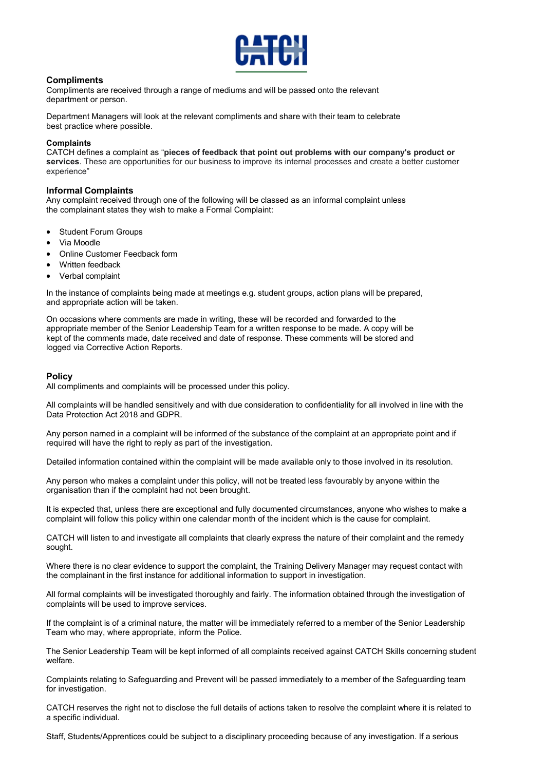

## **Compliments**

Compliments are received through a range of mediums and will be passed onto the relevant department or person.

Department Managers will look at the relevant compliments and share with their team to celebrate best practice where possible.

### **Complaints**

CATCH defines a complaint as "pieces of feedback that point out problems with our company's product or services. These are opportunities for our business to improve its internal processes and create a better customer experience"

### Informal Complaints

Any complaint received through one of the following will be classed as an informal complaint unless the complainant states they wish to make a Formal Complaint:

- Student Forum Groups
- Via Moodle
- Online Customer Feedback form
- Written feedback
- Verbal complaint

In the instance of complaints being made at meetings e.g. student groups, action plans will be prepared, and appropriate action will be taken.

On occasions where comments are made in writing, these will be recorded and forwarded to the appropriate member of the Senior Leadership Team for a written response to be made. A copy will be kept of the comments made, date received and date of response. These comments will be stored and logged via Corrective Action Reports.

## **Policy**

All compliments and complaints will be processed under this policy.

All complaints will be handled sensitively and with due consideration to confidentiality for all involved in line with the Data Protection Act 2018 and GDPR.

Any person named in a complaint will be informed of the substance of the complaint at an appropriate point and if required will have the right to reply as part of the investigation.

Detailed information contained within the complaint will be made available only to those involved in its resolution.

Any person who makes a complaint under this policy, will not be treated less favourably by anyone within the organisation than if the complaint had not been brought.

It is expected that, unless there are exceptional and fully documented circumstances, anyone who wishes to make a complaint will follow this policy within one calendar month of the incident which is the cause for complaint.

CATCH will listen to and investigate all complaints that clearly express the nature of their complaint and the remedy sought.

Where there is no clear evidence to support the complaint, the Training Delivery Manager may request contact with the complainant in the first instance for additional information to support in investigation.

All formal complaints will be investigated thoroughly and fairly. The information obtained through the investigation of complaints will be used to improve services.

If the complaint is of a criminal nature, the matter will be immediately referred to a member of the Senior Leadership Team who may, where appropriate, inform the Police.

The Senior Leadership Team will be kept informed of all complaints received against CATCH Skills concerning student welfare.

Complaints relating to Safeguarding and Prevent will be passed immediately to a member of the Safeguarding team for investigation.

CATCH reserves the right not to disclose the full details of actions taken to resolve the complaint where it is related to a specific individual.

Staff, Students/Apprentices could be subject to a disciplinary proceeding because of any investigation. If a serious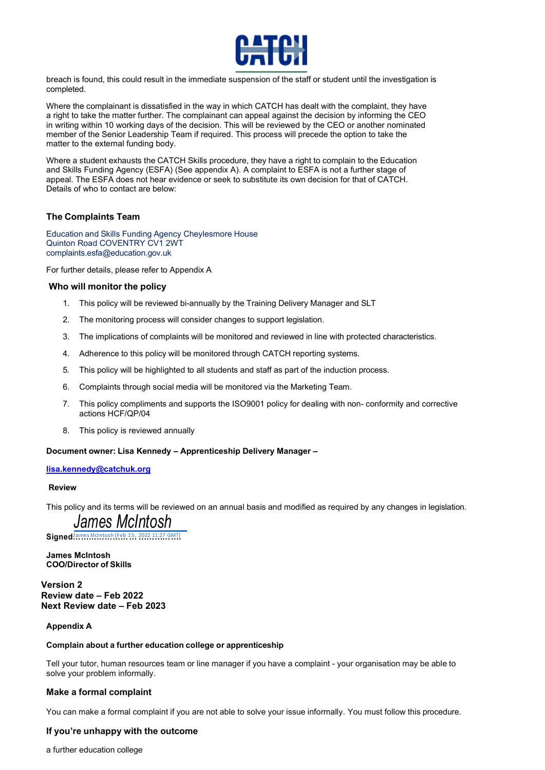

breach is found, this could result in the immediate suspension of the staff or student until the investigation is completed.

Where the complainant is dissatisfied in the way in which CATCH has dealt with the complaint, they have a right to take the matter further. The complainant can appeal against the decision by informing the CEO in writing within 10 working days of the decision. This will be reviewed by the CEO or another nominated member of the Senior Leadership Team if required. This process will precede the option to take the matter to the external funding body.

Where a student exhausts the CATCH Skills procedure, they have a right to complain to the Education and Skills Funding Agency (ESFA) (See appendix A). A complaint to ESFA is not a further stage of appeal. The ESFA does not hear evidence or seek to substitute its own decision for that of CATCH. Details of who to contact are below:

## The Complaints Team

Education and Skills Funding Agency Cheylesmore House Quinton Road COVENTRY CV1 2WT complaints.esfa@education.gov.uk

For further details, please refer to Appendix A

### Who will monitor the policy

- 1. This policy will be reviewed bi-annually by the Training Delivery Manager and SLT
- 2. The monitoring process will consider changes to support legislation.
- 3. The implications of complaints will be monitored and reviewed in line with protected characteristics.
- 4. Adherence to this policy will be monitored through CATCH reporting systems.
- 5. This policy will be highlighted to all students and staff as part of the induction process.
- 6. Complaints through social media will be monitored via the Marketing Team.
- 7. This policy compliments and supports the ISO9001 policy for dealing with non- conformity and corrective actions HCF/QP/04
- 8. This policy is reviewed annually

### Document owner: Lisa Kennedy – Apprenticeship Delivery Manager –

### lisa.kennedy@catchuk.org

### Review

This policy and its terms will be reviewed on an annual basis and modified as required by any changes in legislation.

James McIntosh

Signed<sup>James</sup> McIntosh (Feb 15, 2022 11:27 GMT) .

James McIntosh COO/Director of Skills

Version 2 Review date – Feb 2022 Next Review date – Feb 2023

## Appendix A

### Complain about a further education college or apprenticeship

Tell your tutor, human resources team or line manager if you have a complaint - your organisation may be able to solve your problem informally.

## Make a formal complaint

You can make a formal complaint if you are not able to solve your issue informally. You must follow this procedure.

# If you're unhappy with the outcome

a further education college